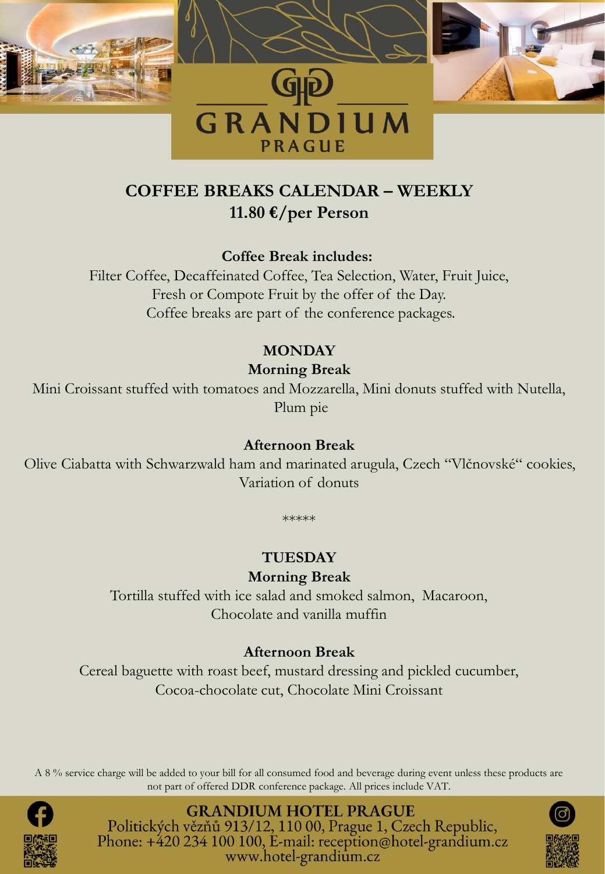

# **COFFEE BREAKS CALENDAR – WEEKLY 11.80 €/per Person**

**Coffee Break includes:**

Filter Coffee, Decaffeinated Coffee, Tea Selection, Water, Fruit Juice, Fresh or Compote Fruit by the offer of the Day. Coffee breaks are part of the conference packages.

# **MONDAY**

# **Morning Break**

Mini Croissant stuffed with tomatoes and Mozzarella, Mini donuts stuffed with Nutella, Plum pie

#### **Afternoon Break**

Olive Ciabatta with Schwarzwald ham and marinated arugula, Czech "Vlčnovské" cookies, Variation of donuts

\*\*\*\*\*

# **TUESDAY**

### **Morning Break**

Tortilla stuffed with ice salad and smoked salmon, Macaroon, Chocolate and vanilla muffin

### **Afternoon Break**

Cereal baguette with roast beef, mustard dressing and pickled cucumber, Cocoa-chocolate cut, Chocolate Mini Croissant

A 8 % service charge will be added to your bill for all consumed food and beverage during event unless these products are not part of offered DDR conference package. All prices include VAT.



**GRANDIUM HOTEL PRAGUE** Politických vězňů 913/12, 110 00, Prague 1, Czech Republic, Phone: +420 234 100 100, E-mail: reception@hotel-grandium.cz www.hotel-grandium.cz